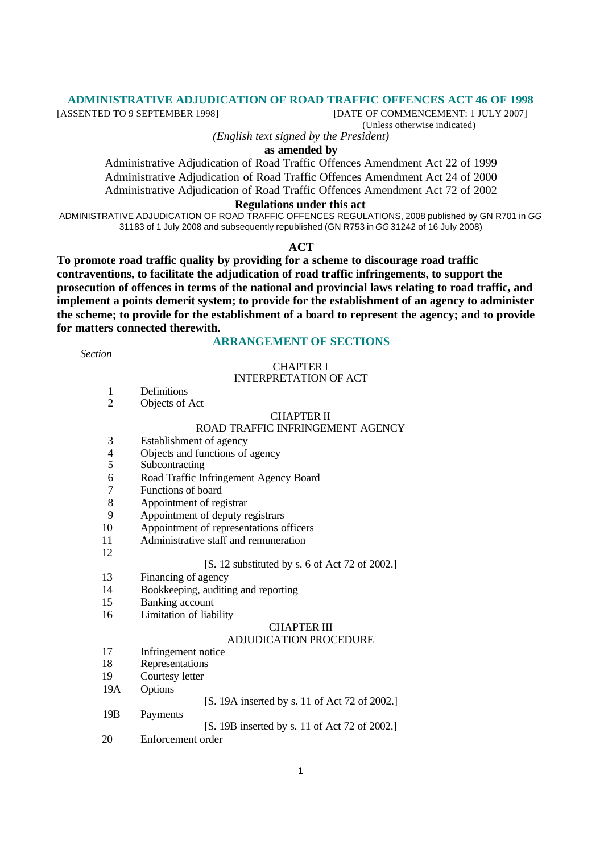## **ADMINISTRATIVE ADJUDICATION OF ROAD TRAFFIC OFFENCES ACT 46 OF 1998**

[ASSENTED TO 9 SEPTEMBER 1998] [DATE OF COMMENCEMENT: 1 JULY 2007] (Unless otherwise indicated)

*(English text signed by the President)*

**as amended by**

Administrative Adjudication of Road Traffic Offences Amendment Act 22 of 1999 Administrative Adjudication of Road Traffic Offences Amendment Act 24 of 2000 Administrative Adjudication of Road Traffic Offences Amendment Act 72 of 2002

#### **Regulations under this act**

ADMINISTRATIVE ADJUDICATION OF ROAD TRAFFIC OFFENCES REGULATIONS, 2008 published by GN R701 in *GG* 31183 of 1 July 2008 and subsequently republished (GN R753 in *GG* 31242 of 16 July 2008)

#### **ACT**

**To promote road traffic quality by providing for a scheme to discourage road traffic contraventions, to facilitate the adjudication of road traffic infringements, to support the prosecution of offences in terms of the national and provincial laws relating to road traffic, and implement a points demerit system; to provide for the establishment of an agency to administer the scheme; to provide for the establishment of a board to represent the agency; and to provide for matters connected therewith.**

*Section*

## **ARRANGEMENT OF SECTIONS**

#### CHAPTER I INTERPRETATION OF ACT

- 1 Definitions
- 2 Objects of Act

#### CHAPTER II

## ROAD TRAFFIC INFRINGEMENT AGENCY

- 3 Establishment of agency
- 4 Objects and functions of agency<br>5 Subcontracting
- **Subcontracting**
- 6 Road Traffic Infringement Agency Board
- 7 Functions of board
- 8 Appointment of registrar
- 9 Appointment of deputy registrars
- 10 Appointment of representations officers
- 11 Administrative staff and remuneration
- 12

## [S. 12 substituted by s. 6 of Act 72 of 2002.]

- 13 Financing of agency
- 14 Bookkeeping, auditing and reporting
- 15 Banking account
- 16 Limitation of liability

#### CHAPTER III

#### ADJUDICATION PROCEDURE

- 17 Infringement notice
- 18 Representations
- 19 Courtesy letter
- 19A Options
- [S. 19A inserted by s. 11 of Act 72 of 2002.]
- 19B Payments
- [S. 19B inserted by s. 11 of Act 72 of 2002.]
- 20 Enforcement order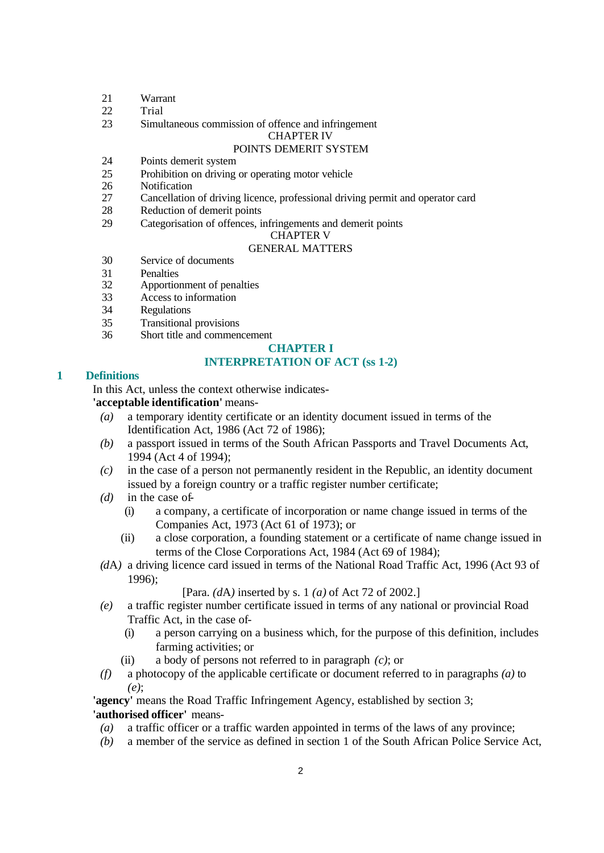- 21 Warrant
- 22 Trial
- 23 Simultaneous commission of offence and infringement

CHAPTER IV

## POINTS DEMERIT SYSTEM

- 24 Points demerit system
- 25 Prohibition on driving or operating motor vehicle
- 26 Notification<br>27 Cancellation
- Cancellation of driving licence, professional driving permit and operator card
- 28 Reduction of demerit points
- 29 Categorisation of offences, infringements and demerit points

#### CHAPTER V

# GENERAL MATTERS

- 30 Service of documents
- 31 Penalties<br>32 Apportion
- Apportionment of penalties
- 33 Access to information
- 34 Regulations
- 35 Transitional provisions
- 36 Short title and commencement

## **CHAPTER I**

# **INTERPRETATION OF ACT (ss 1-2)**

## **1 Definitions**

In this Act, unless the context otherwise indicates-

**'acceptable identification'** means-

- *(a)* a temporary identity certificate or an identity document issued in terms of the Identification Act, 1986 (Act 72 of 1986);
- *(b)* a passport issued in terms of the South African Passports and Travel Documents Act, 1994 (Act 4 of 1994);
- *(c)* in the case of a person not permanently resident in the Republic, an identity document issued by a foreign country or a traffic register number certificate;
- *(d)* in the case of-
	- (i) a company, a certificate of incorporation or name change issued in terms of the Companies Act, 1973 (Act 61 of 1973); or
	- (ii) a close corporation, a founding statement or a certificate of name change issued in terms of the Close Corporations Act, 1984 (Act 69 of 1984);
- *(d*A*)* a driving licence card issued in terms of the National Road Traffic Act, 1996 (Act 93 of 1996);

[Para. *(d*A*)* inserted by s. 1 *(a)* of Act 72 of 2002.]

- *(e)* a traffic register number certificate issued in terms of any national or provincial Road Traffic Act, in the case of-
	- (i) a person carrying on a business which, for the purpose of this definition, includes farming activities; or
	- (ii) a body of persons not referred to in paragraph *(c)*; or
- *(f)* a photocopy of the applicable certificate or document referred to in paragraphs *(a)* to *(e)*;

**'agency'** means the Road Traffic Infringement Agency, established by section 3; **'authorised officer'** means-

- *(a)* a traffic officer or a traffic warden appointed in terms of the laws of any province;
- *(b)* a member of the service as defined in section 1 of the South African Police Service Act,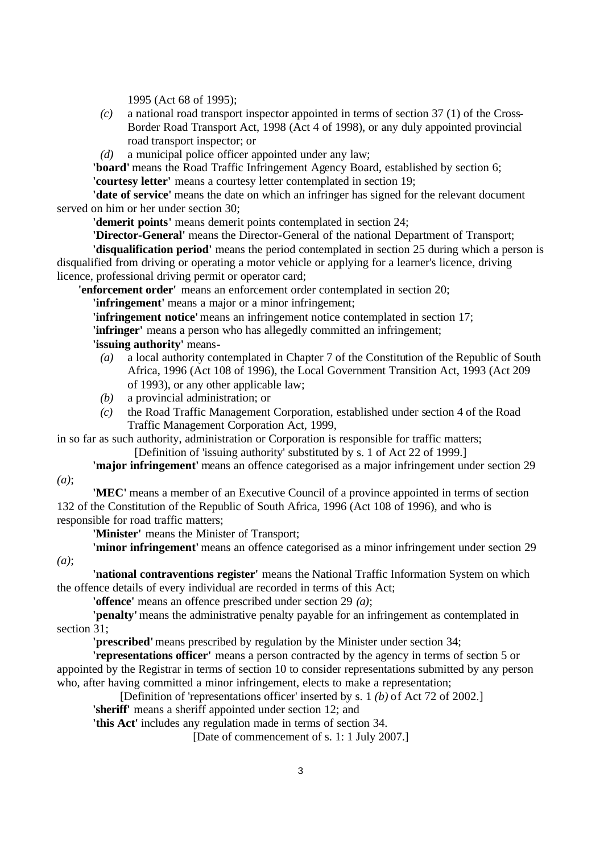1995 (Act 68 of 1995);

- *(c)* a national road transport inspector appointed in terms of section 37 (1) of the Cross-Border Road Transport Act, 1998 (Act 4 of 1998), or any duly appointed provincial road transport inspector; or
- *(d)* a municipal police officer appointed under any law;

**'board'** means the Road Traffic Infringement Agency Board, established by section 6; **'courtesy letter'** means a courtesy letter contemplated in section 19;

**'date of service'** means the date on which an infringer has signed for the relevant document served on him or her under section 30;

**'demerit points'** means demerit points contemplated in section 24;

**'Director-General'** means the Director-General of the national Department of Transport;

**'disqualification period'** means the period contemplated in section 25 during which a person is disqualified from driving or operating a motor vehicle or applying for a learner's licence, driving licence, professional driving permit or operator card;

**'enforcement order'** means an enforcement order contemplated in section 20;

**'infringement'** means a major or a minor infringement;

**'infringement notice'** means an infringement notice contemplated in section 17;

**'infringer'** means a person who has allegedly committed an infringement;

**'issuing authority'** means-

- *(a)* a local authority contemplated in Chapter 7 of the Constitution of the Republic of South Africa, 1996 (Act 108 of 1996), the Local Government Transition Act, 1993 (Act 209 of 1993), or any other applicable law;
- *(b)* a provincial administration; or
- *(c)* the Road Traffic Management Corporation, established under section 4 of the Road Traffic Management Corporation Act, 1999,

in so far as such authority, administration or Corporation is responsible for traffic matters; [Definition of 'issuing authority' substituted by s. 1 of Act 22 of 1999.]

**'major infringement'** means an offence categorised as a major infringement under section 29

*(a)*;

*(a)*;

**'MEC'** means a member of an Executive Council of a province appointed in terms of section 132 of the Constitution of the Republic of South Africa, 1996 (Act 108 of 1996), and who is responsible for road traffic matters;

**'Minister'** means the Minister of Transport;

**'minor infringement'** means an offence categorised as a minor infringement under section 29

**'national contraventions register'** means the National Traffic Information System on which the offence details of every individual are recorded in terms of this Act;

**'offence'** means an offence prescribed under section 29 *(a)*;

**'penalty'** means the administrative penalty payable for an infringement as contemplated in section 31:

**'prescribed'** means prescribed by regulation by the Minister under section 34;

**'representations officer'** means a person contracted by the agency in terms of section 5 or appointed by the Registrar in terms of section 10 to consider representations submitted by any person who, after having committed a minor infringement, elects to make a representation;

[Definition of 'representations officer' inserted by s. 1 *(b)* of Act 72 of 2002.]

**'sheriff'** means a sheriff appointed under section 12; and

**'this Act'** includes any regulation made in terms of section 34.

[Date of commencement of s. 1: 1 July 2007.]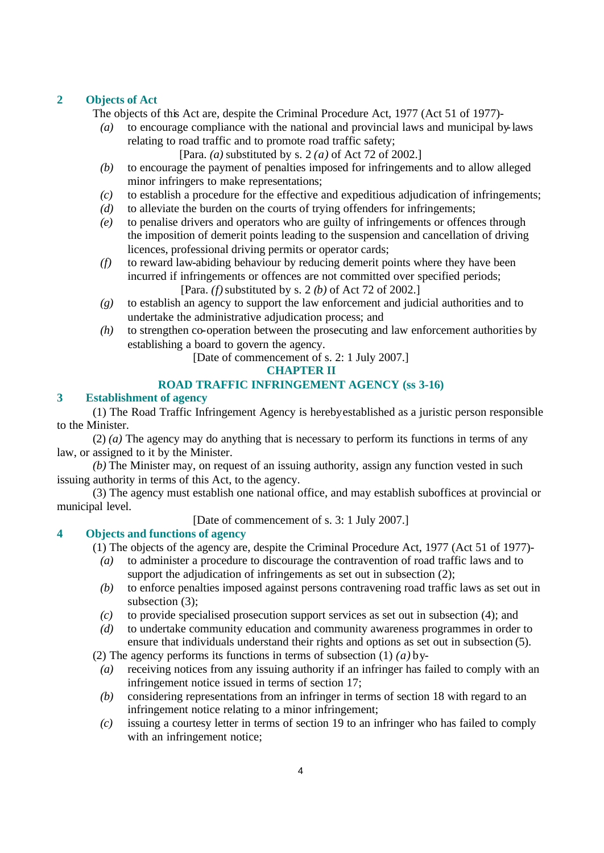## **2 Objects of Act**

The objects of this Act are, despite the Criminal Procedure Act, 1977 (Act 51 of 1977)-

*(a)* to encourage compliance with the national and provincial laws and municipal by-laws relating to road traffic and to promote road traffic safety;

[Para. *(a)* substituted by s. 2 *(a)* of Act 72 of 2002.]

- *(b)* to encourage the payment of penalties imposed for infringements and to allow alleged minor infringers to make representations;
- *(c)* to establish a procedure for the effective and expeditious adjudication of infringements;
- *(d)* to alleviate the burden on the courts of trying offenders for infringements;
- *(e)* to penalise drivers and operators who are guilty of infringements or offences through the imposition of demerit points leading to the suspension and cancellation of driving licences, professional driving permits or operator cards;
- *(f)* to reward law-abiding behaviour by reducing demerit points where they have been incurred if infringements or offences are not committed over specified periods; [Para. *(f)* substituted by s. 2 *(b)* of Act 72 of 2002.]
- *(g)* to establish an agency to support the law enforcement and judicial authorities and to undertake the administrative adjudication process; and
- *(h)* to strengthen co-operation between the prosecuting and law enforcement authorities by establishing a board to govern the agency.

[Date of commencement of s. 2: 1 July 2007.]

## **CHAPTER II**

## **ROAD TRAFFIC INFRINGEMENT AGENCY (ss 3-16)**

#### **3 Establishment of agency**

(1) The Road Traffic Infringement Agency is hereby established as a juristic person responsible to the Minister.

(2) *(a)* The agency may do anything that is necessary to perform its functions in terms of any law, or assigned to it by the Minister.

*(b)* The Minister may, on request of an issuing authority, assign any function vested in such issuing authority in terms of this Act, to the agency.

(3) The agency must establish one national office, and may establish suboffices at provincial or municipal level.

[Date of commencement of s. 3: 1 July 2007.]

# **4 Objects and functions of agency**

(1) The objects of the agency are, despite the Criminal Procedure Act, 1977 (Act 51 of 1977)-

- *(a)* to administer a procedure to discourage the contravention of road traffic laws and to support the adjudication of infringements as set out in subsection  $(2)$ ;
- *(b)* to enforce penalties imposed against persons contravening road traffic laws as set out in subsection (3);
- *(c)* to provide specialised prosecution support services as set out in subsection (4); and
- *(d)* to undertake community education and community awareness programmes in order to ensure that individuals understand their rights and options as set out in subsection (5).

(2) The agency performs its functions in terms of subsection (1) *(a)* by-

- *(a)* receiving notices from any issuing authority if an infringer has failed to comply with an infringement notice issued in terms of section 17;
- *(b)* considering representations from an infringer in terms of section 18 with regard to an infringement notice relating to a minor infringement;
- *(c)* issuing a courtesy letter in terms of section 19 to an infringer who has failed to comply with an infringement notice;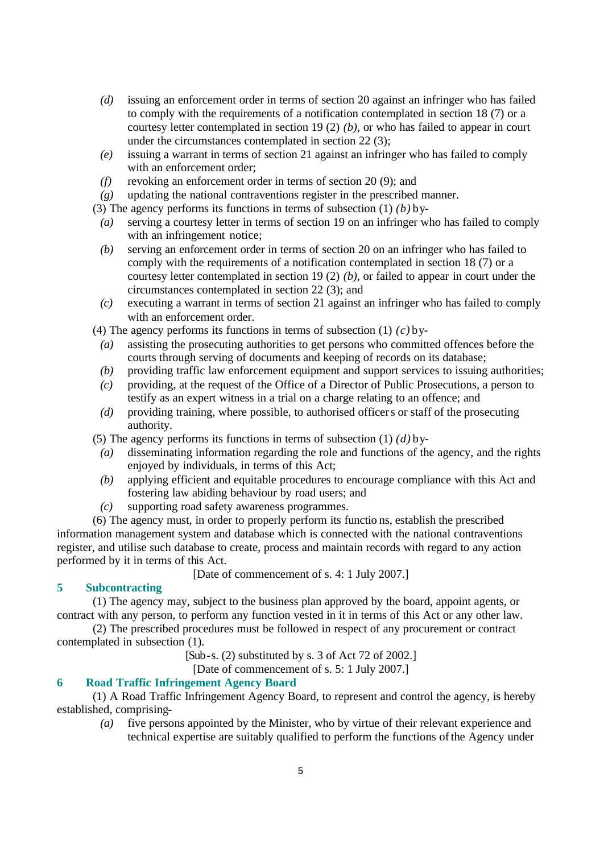- *(d)* issuing an enforcement order in terms of section 20 against an infringer who has failed to comply with the requirements of a notification contemplated in section 18 (7) or a courtesy letter contemplated in section 19 (2) *(b)*, or who has failed to appear in court under the circumstances contemplated in section 22 (3);
- *(e)* issuing a warrant in terms of section 21 against an infringer who has failed to comply with an enforcement order;
- *(f)* revoking an enforcement order in terms of section 20 (9); and
- *(g)* updating the national contraventions register in the prescribed manner.

(3) The agency performs its functions in terms of subsection (1) *(b)* by-

- *(a)* serving a courtesy letter in terms of section 19 on an infringer who has failed to comply with an infringement notice;
- *(b)* serving an enforcement order in terms of section 20 on an infringer who has failed to comply with the requirements of a notification contemplated in section 18 (7) or a courtesy letter contemplated in section 19 (2) *(b)*, or failed to appear in court under the circumstances contemplated in section 22 (3); and
- *(c)* executing a warrant in terms of section 21 against an infringer who has failed to comply with an enforcement order.
- (4) The agency performs its functions in terms of subsection (1) *(c)* by-
	- *(a)* assisting the prosecuting authorities to get persons who committed offences before the courts through serving of documents and keeping of records on its database;
	- *(b)* providing traffic law enforcement equipment and support services to issuing authorities;
	- *(c)* providing, at the request of the Office of a Director of Public Prosecutions, a person to testify as an expert witness in a trial on a charge relating to an offence; and
	- *(d)* providing training, where possible, to authorised officers or staff of the prosecuting authority.
- (5) The agency performs its functions in terms of subsection (1) *(d)* by-
	- *(a)* disseminating information regarding the role and functions of the agency, and the rights enjoyed by individuals, in terms of this Act;
	- *(b)* applying efficient and equitable procedures to encourage compliance with this Act and fostering law abiding behaviour by road users; and
	- *(c)* supporting road safety awareness programmes.

(6) The agency must, in order to properly perform its functio ns, establish the prescribed information management system and database which is connected with the national contraventions register, and utilise such database to create, process and maintain records with regard to any action performed by it in terms of this Act.

[Date of commencement of s. 4: 1 July 2007.]

# **5 Subcontracting**

(1) The agency may, subject to the business plan approved by the board, appoint agents, or contract with any person, to perform any function vested in it in terms of this Act or any other law.

(2) The prescribed procedures must be followed in respect of any procurement or contract contemplated in subsection (1).

[Sub-s. (2) substituted by s. 3 of Act 72 of 2002.]

[Date of commencement of s. 5: 1 July 2007.]

# **6 Road Traffic Infringement Agency Board**

(1) A Road Traffic Infringement Agency Board, to represent and control the agency, is hereby established, comprising-

*(a)* five persons appointed by the Minister, who by virtue of their relevant experience and technical expertise are suitably qualified to perform the functions of the Agency under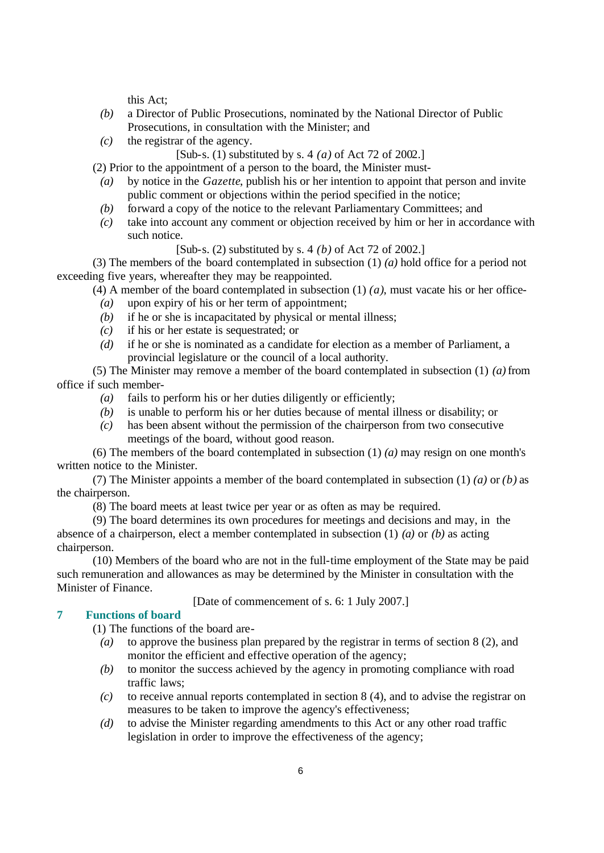this Act;

- *(b)* a Director of Public Prosecutions, nominated by the National Director of Public Prosecutions, in consultation with the Minister; and
- *(c)* the registrar of the agency.
	- [Sub-s. (1) substituted by s. 4 *(a)* of Act 72 of 2002.]
- (2) Prior to the appointment of a person to the board, the Minister must-
- *(a)* by notice in the *Gazette*, publish his or her intention to appoint that person and invite public comment or objections within the period specified in the notice;
- *(b)* forward a copy of the notice to the relevant Parliamentary Committees; and
- *(c)* take into account any comment or objection received by him or her in accordance with such notice.

[Sub-s. (2) substituted by s. 4 *(b)* of Act 72 of 2002.]

(3) The members of the board contemplated in subsection (1) *(a)* hold office for a period not exceeding five years, whereafter they may be reappointed.

(4) A member of the board contemplated in subsection  $(1)$   $(a)$ , must vacate his or her office-

- *(a)* upon expiry of his or her term of appointment;
- *(b)* if he or she is incapacitated by physical or mental illness;
- *(c)* if his or her estate is sequestrated; or
- *(d)* if he or she is nominated as a candidate for election as a member of Parliament, a provincial legislature or the council of a local authority.

(5) The Minister may remove a member of the board contemplated in subsection (1) *(a)* from office if such member-

- *(a)* fails to perform his or her duties diligently or efficiently;
- *(b)* is unable to perform his or her duties because of mental illness or disability; or
- *(c)* has been absent without the permission of the chairperson from two consecutive meetings of the board, without good reason.

(6) The members of the board contemplated in subsection (1) *(a)* may resign on one month's written notice to the Minister.

(7) The Minister appoints a member of the board contemplated in subsection (1) *(a)* or *(b)* as the chairperson.

(8) The board meets at least twice per year or as often as may be required.

(9) The board determines its own procedures for meetings and decisions and may, in the absence of a chairperson, elect a member contemplated in subsection (1) *(a)* or *(b)* as acting chairperson.

(10) Members of the board who are not in the full-time employment of the State may be paid such remuneration and allowances as may be determined by the Minister in consultation with the Minister of Finance.

[Date of commencement of s. 6: 1 July 2007.]

# **7 Functions of board**

(1) The functions of the board are-

- *(a)* to approve the business plan prepared by the registrar in terms of section 8 (2), and monitor the efficient and effective operation of the agency;
- *(b)* to monitor the success achieved by the agency in promoting compliance with road traffic laws;
- *(c)* to receive annual reports contemplated in section 8 (4), and to advise the registrar on measures to be taken to improve the agency's effectiveness;
- *(d)* to advise the Minister regarding amendments to this Act or any other road traffic legislation in order to improve the effectiveness of the agency;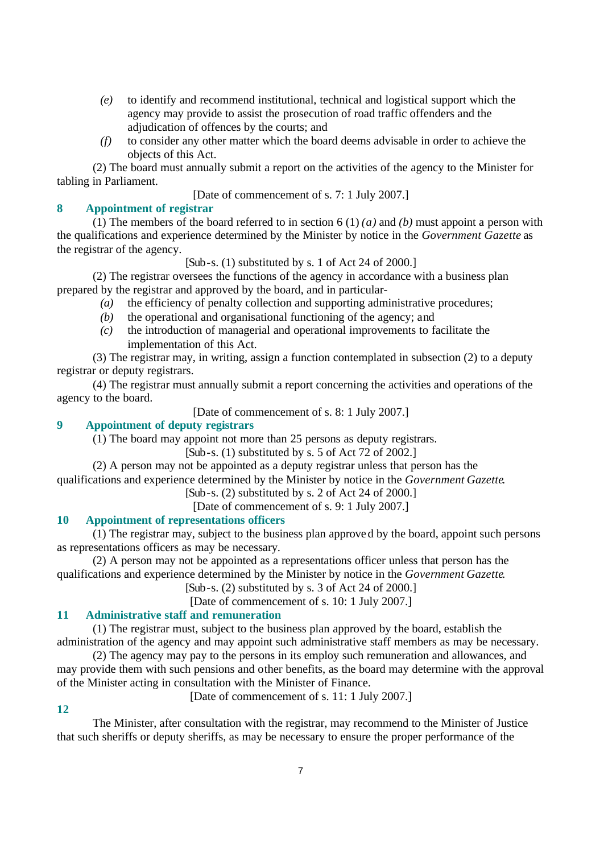- *(e)* to identify and recommend institutional, technical and logistical support which the agency may provide to assist the prosecution of road traffic offenders and the adjudication of offences by the courts; and
- *(f)* to consider any other matter which the board deems advisable in order to achieve the objects of this Act.

(2) The board must annually submit a report on the activities of the agency to the Minister for tabling in Parliament.

[Date of commencement of s. 7: 1 July 2007.]

# **8 Appointment of registrar**

(1) The members of the board referred to in section 6 (1) *(a)* and *(b)* must appoint a person with the qualifications and experience determined by the Minister by notice in the *Government Gazette* as the registrar of the agency.

[Sub-s. (1) substituted by s. 1 of Act 24 of 2000.]

(2) The registrar oversees the functions of the agency in accordance with a business plan prepared by the registrar and approved by the board, and in particular-

- *(a)* the efficiency of penalty collection and supporting administrative procedures;
- *(b)* the operational and organisational functioning of the agency; and
- *(c)* the introduction of managerial and operational improvements to facilitate the implementation of this Act.

(3) The registrar may, in writing, assign a function contemplated in subsection (2) to a deputy registrar or deputy registrars.

(4) The registrar must annually submit a report concerning the activities and operations of the agency to the board.

[Date of commencement of s. 8: 1 July 2007.]

## **9 Appointment of deputy registrars**

(1) The board may appoint not more than 25 persons as deputy registrars.

[Sub-s.  $(1)$  substituted by s. 5 of Act 72 of 2002.]

(2) A person may not be appointed as a deputy registrar unless that person has the qualifications and experience determined by the Minister by notice in the *Government Gazette*.

[Sub-s. (2) substituted by s. 2 of Act 24 of 2000.]

[Date of commencement of s. 9: 1 July 2007.]

## **10 Appointment of representations officers**

(1) The registrar may, subject to the business plan approved by the board, appoint such persons as representations officers as may be necessary.

(2) A person may not be appointed as a representations officer unless that person has the qualifications and experience determined by the Minister by notice in the *Government Gazette*.

 $[Sub-s. (2)$  substituted by s. 3 of Act 24 of 2000.]

[Date of commencement of s. 10: 1 July 2007.]

# **11 Administrative staff and remuneration**

(1) The registrar must, subject to the business plan approved by the board, establish the administration of the agency and may appoint such administrative staff members as may be necessary.

(2) The agency may pay to the persons in its employ such remuneration and allowances, and may provide them with such pensions and other benefits, as the board may determine with the approval of the Minister acting in consultation with the Minister of Finance.

**12**

[Date of commencement of s. 11: 1 July 2007.]

The Minister, after consultation with the registrar, may recommend to the Minister of Justice that such sheriffs or deputy sheriffs, as may be necessary to ensure the proper performance of the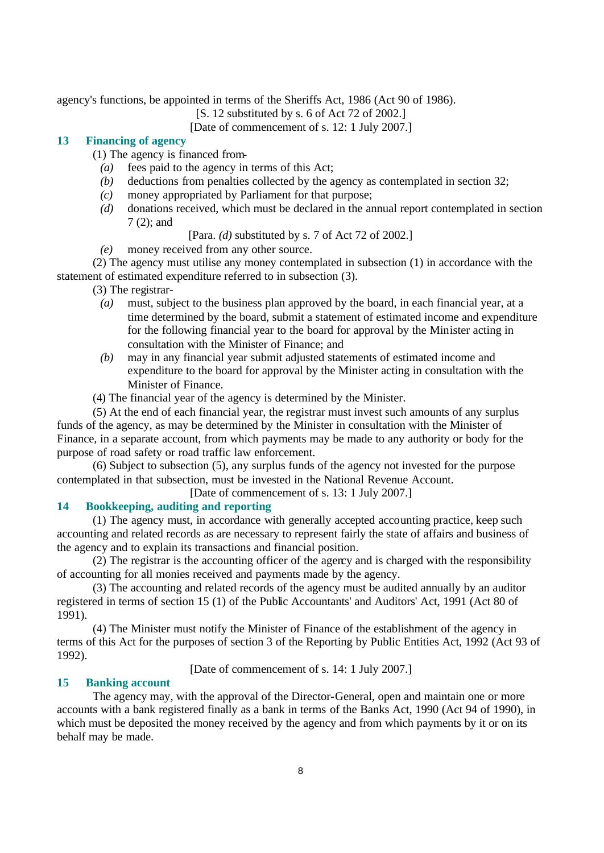agency's functions, be appointed in terms of the Sheriffs Act, 1986 (Act 90 of 1986).

[S. 12 substituted by s. 6 of Act 72 of 2002.]

[Date of commencement of s. 12: 1 July 2007.]

# **13 Financing of agency**

- (1) The agency is financed from-
	- *(a)* fees paid to the agency in terms of this Act;
	- *(b)* deductions from penalties collected by the agency as contemplated in section 32;
	- *(c)* money appropriated by Parliament for that purpose;
	- *(d)* donations received, which must be declared in the annual report contemplated in section 7 (2); and

[Para. *(d)* substituted by s. 7 of Act 72 of 2002.]

*(e)* money received from any other source.

(2) The agency must utilise any money contemplated in subsection (1) in accordance with the statement of estimated expenditure referred to in subsection (3).

(3) The registrar-

- *(a)* must, subject to the business plan approved by the board, in each financial year, at a time determined by the board, submit a statement of estimated income and expenditure for the following financial year to the board for approval by the Minister acting in consultation with the Minister of Finance; and
- *(b)* may in any financial year submit adjusted statements of estimated income and expenditure to the board for approval by the Minister acting in consultation with the Minister of Finance.
- (4) The financial year of the agency is determined by the Minister.

(5) At the end of each financial year, the registrar must invest such amounts of any surplus funds of the agency, as may be determined by the Minister in consultation with the Minister of Finance, in a separate account, from which payments may be made to any authority or body for the purpose of road safety or road traffic law enforcement.

(6) Subject to subsection (5), any surplus funds of the agency not invested for the purpose contemplated in that subsection, must be invested in the National Revenue Account.

[Date of commencement of s. 13: 1 July 2007.]

## **14 Bookkeeping, auditing and reporting**

(1) The agency must, in accordance with generally accepted accounting practice, keep such accounting and related records as are necessary to represent fairly the state of affairs and business of the agency and to explain its transactions and financial position.

 $(2)$  The registrar is the accounting officer of the agency and is charged with the responsibility of accounting for all monies received and payments made by the agency.

(3) The accounting and related records of the agency must be audited annually by an auditor registered in terms of section 15 (1) of the Public Accountants' and Auditors' Act, 1991 (Act 80 of 1991).

(4) The Minister must notify the Minister of Finance of the establishment of the agency in terms of this Act for the purposes of section 3 of the Reporting by Public Entities Act, 1992 (Act 93 of 1992).

[Date of commencement of s. 14: 1 July 2007.]

#### **15 Banking account**

The agency may, with the approval of the Director-General, open and maintain one or more accounts with a bank registered finally as a bank in terms of the Banks Act, 1990 (Act 94 of 1990), in which must be deposited the money received by the agency and from which payments by it or on its behalf may be made.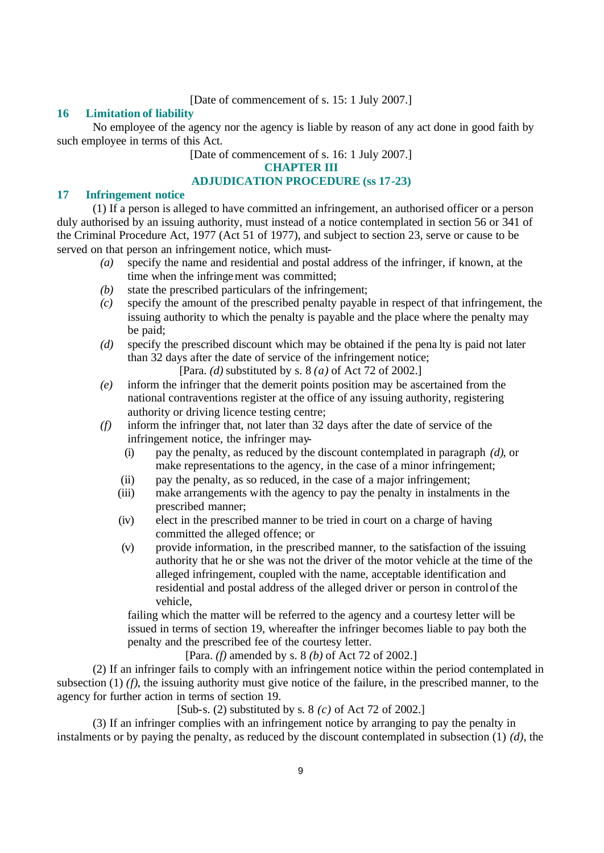## [Date of commencement of s. 15: 1 July 2007.]

#### **16 Limitation of liability**

No employee of the agency nor the agency is liable by reason of any act done in good faith by such employee in terms of this Act.

[Date of commencement of s. 16: 1 July 2007.]

**CHAPTER III**

## **ADJUDICATION PROCEDURE (ss 17-23)**

## **17 Infringement notice**

(1) If a person is alleged to have committed an infringement, an authorised officer or a person duly authorised by an issuing authority, must instead of a notice contemplated in section 56 or 341 of the Criminal Procedure Act, 1977 (Act 51 of 1977), and subject to section 23, serve or cause to be served on that person an infringement notice, which must-

- *(a)* specify the name and residential and postal address of the infringer, if known, at the time when the infringement was committed;
- *(b)* state the prescribed particulars of the infringement;
- *(c)* specify the amount of the prescribed penalty payable in respect of that infringement, the issuing authority to which the penalty is payable and the place where the penalty may be paid;
- *(d)* specify the prescribed discount which may be obtained if the pena lty is paid not later than 32 days after the date of service of the infringement notice;

[Para. *(d)* substituted by s. 8 *(a)* of Act 72 of 2002.]

- *(e)* inform the infringer that the demerit points position may be ascertained from the national contraventions register at the office of any issuing authority, registering authority or driving licence testing centre;
- *(f)* inform the infringer that, not later than 32 days after the date of service of the infringement notice, the infringer may-
	- (i) pay the penalty, as reduced by the discount contemplated in paragraph *(d)*, or make representations to the agency, in the case of a minor infringement;
	- (ii) pay the penalty, as so reduced, in the case of a major infringement;
	- (iii) make arrangements with the agency to pay the penalty in instalments in the prescribed manner;
	- (iv) elect in the prescribed manner to be tried in court on a charge of having committed the alleged offence; or
	- (v) provide information, in the prescribed manner, to the satisfaction of the issuing authority that he or she was not the driver of the motor vehicle at the time of the alleged infringement, coupled with the name, acceptable identification and residential and postal address of the alleged driver or person in control of the vehicle,

failing which the matter will be referred to the agency and a courtesy letter will be issued in terms of section 19, whereafter the infringer becomes liable to pay both the penalty and the prescribed fee of the courtesy letter.

[Para. *(f)* amended by s. 8 *(b)* of Act 72 of 2002.]

(2) If an infringer fails to comply with an infringement notice within the period contemplated in subsection (1) (*f*), the issuing authority must give notice of the failure, in the prescribed manner, to the agency for further action in terms of section 19.

# [Sub-s. (2) substituted by s. 8 *(c)* of Act 72 of 2002.]

(3) If an infringer complies with an infringement notice by arranging to pay the penalty in instalments or by paying the penalty, as reduced by the discount contemplated in subsection (1) *(d)*, the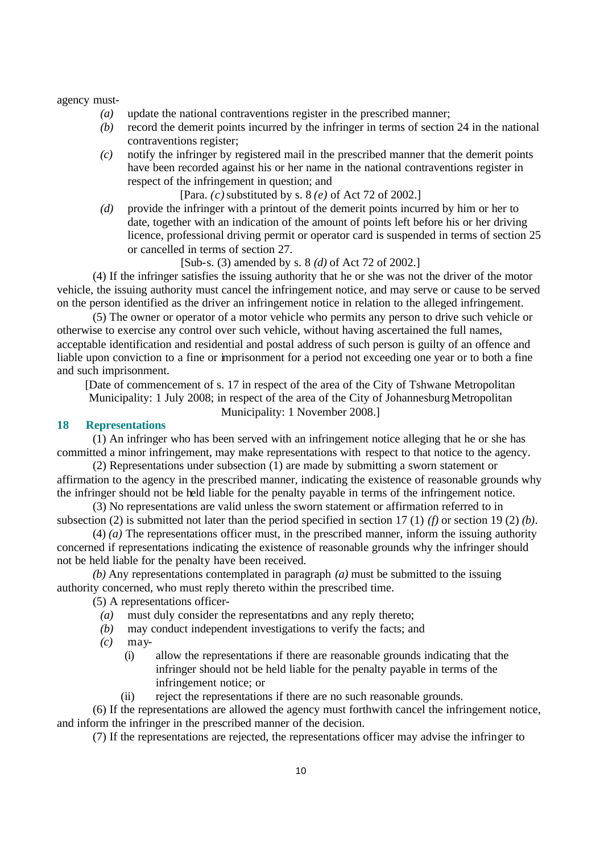#### agency must-

- *(a)* update the national contraventions register in the prescribed manner;
- *(b)* record the demerit points incurred by the infringer in terms of section 24 in the national contraventions register;
- *(c)* notify the infringer by registered mail in the prescribed manner that the demerit points have been recorded against his or her name in the national contraventions register in respect of the infringement in question; and

[Para. *(c)* substituted by s. 8 *(e)* of Act 72 of 2002.]

*(d)* provide the infringer with a printout of the demerit points incurred by him or her to date, together with an indication of the amount of points left before his or her driving licence, professional driving permit or operator card is suspended in terms of section 25 or cancelled in terms of section 27.

#### [Sub-s. (3) amended by s. 8 *(d)* of Act 72 of 2002.]

(4) If the infringer satisfies the issuing authority that he or she was not the driver of the motor vehicle, the issuing authority must cancel the infringement notice, and may serve or cause to be served on the person identified as the driver an infringement notice in relation to the alleged infringement.

(5) The owner or operator of a motor vehicle who permits any person to drive such vehicle or otherwise to exercise any control over such vehicle, without having ascertained the full names, acceptable identification and residential and postal address of such person is guilty of an offence and liable upon conviction to a fine or imprisonment for a period not exceeding one year or to both a fine and such imprisonment.

[Date of commencement of s. 17 in respect of the area of the City of Tshwane Metropolitan Municipality: 1 July 2008; in respect of the area of the City of Johannesburg Metropolitan Municipality: 1 November 2008.]

#### **18 Representations**

(1) An infringer who has been served with an infringement notice alleging that he or she has committed a minor infringement, may make representations with respect to that notice to the agency.

(2) Representations under subsection (1) are made by submitting a sworn statement or affirmation to the agency in the prescribed manner, indicating the existence of reasonable grounds why the infringer should not be held liable for the penalty payable in terms of the infringement notice.

(3) No representations are valid unless the sworn statement or affirmation referred to in subsection (2) is submitted not later than the period specified in section 17 (1) *(f)* or section 19 (2) *(b)*.

(4) *(a)* The representations officer must, in the prescribed manner, inform the issuing authority concerned if representations indicating the existence of reasonable grounds why the infringer should not be held liable for the penalty have been received.

*(b)* Any representations contemplated in paragraph *(a)* must be submitted to the issuing authority concerned, who must reply thereto within the prescribed time.

(5) A representations officer-

- *(a)* must duly consider the representations and any reply thereto;
- *(b)* may conduct independent investigations to verify the facts; and
- *(c)* may-
	- (i) allow the representations if there are reasonable grounds indicating that the infringer should not be held liable for the penalty payable in terms of the infringement notice; or
	- (ii) reject the representations if there are no such reasonable grounds.

(6) If the representations are allowed the agency must forthwith cancel the infringement notice, and inform the infringer in the prescribed manner of the decision.

(7) If the representations are rejected, the representations officer may advise the infringer to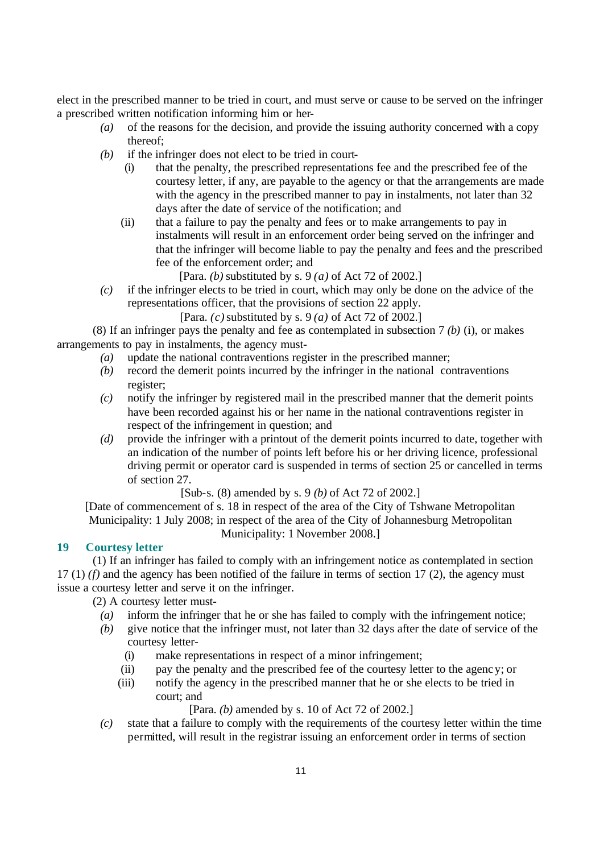elect in the prescribed manner to be tried in court, and must serve or cause to be served on the infringer a prescribed written notification informing him or her-

- *(a)* of the reasons for the decision, and provide the issuing authority concerned with a copy thereof;
- *(b)* if the infringer does not elect to be tried in court-
	- (i) that the penalty, the prescribed representations fee and the prescribed fee of the courtesy letter, if any, are payable to the agency or that the arrangements are made with the agency in the prescribed manner to pay in instalments, not later than 32 days after the date of service of the notification; and
	- (ii) that a failure to pay the penalty and fees or to make arrangements to pay in instalments will result in an enforcement order being served on the infringer and that the infringer will become liable to pay the penalty and fees and the prescribed fee of the enforcement order; and

[Para. *(b)* substituted by s. 9 *(a)* of Act 72 of 2002.]

*(c)* if the infringer elects to be tried in court, which may only be done on the advice of the representations officer, that the provisions of section 22 apply.

[Para. *(c)* substituted by s. 9 *(a)* of Act 72 of 2002.]

(8) If an infringer pays the penalty and fee as contemplated in subsection 7 *(b)* (i), or makes arrangements to pay in instalments, the agency must-

- *(a)* update the national contraventions register in the prescribed manner;
- *(b)* record the demerit points incurred by the infringer in the national contraventions register;
- *(c)* notify the infringer by registered mail in the prescribed manner that the demerit points have been recorded against his or her name in the national contraventions register in respect of the infringement in question; and
- *(d)* provide the infringer with a printout of the demerit points incurred to date, together with an indication of the number of points left before his or her driving licence, professional driving permit or operator card is suspended in terms of section 25 or cancelled in terms of section 27.

[Sub-s. (8) amended by s. 9 *(b)* of Act 72 of 2002.]

[Date of commencement of s. 18 in respect of the area of the City of Tshwane Metropolitan Municipality: 1 July 2008; in respect of the area of the City of Johannesburg Metropolitan Municipality: 1 November 2008.]

**19 Courtesy letter**

(1) If an infringer has failed to comply with an infringement notice as contemplated in section 17 (1) *(f)* and the agency has been notified of the failure in terms of section 17 (2), the agency must issue a courtesy letter and serve it on the infringer.

(2) A courtesy letter must-

- *(a)* inform the infringer that he or she has failed to comply with the infringement notice;
- *(b)* give notice that the infringer must, not later than 32 days after the date of service of the courtesy letter-
	- (i) make representations in respect of a minor infringement;
	- (ii) pay the penalty and the prescribed fee of the courtesy letter to the agency; or
	- (iii) notify the agency in the prescribed manner that he or she elects to be tried in court; and

[Para. *(b)* amended by s. 10 of Act 72 of 2002.]

*(c)* state that a failure to comply with the requirements of the courtesy letter within the time permitted, will result in the registrar issuing an enforcement order in terms of section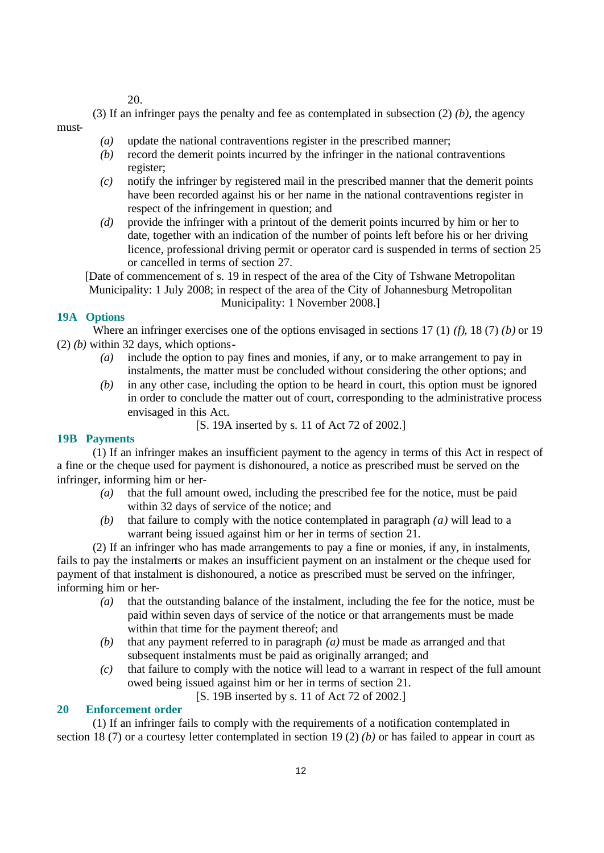20.

(3) If an infringer pays the penalty and fee as contemplated in subsection (2) *(b)*, the agency must-

- *(a)* update the national contraventions register in the prescribed manner;
- *(b)* record the demerit points incurred by the infringer in the national contraventions register;
- *(c)* notify the infringer by registered mail in the prescribed manner that the demerit points have been recorded against his or her name in the national contraventions register in respect of the infringement in question; and
- *(d)* provide the infringer with a printout of the demerit points incurred by him or her to date, together with an indication of the number of points left before his or her driving licence, professional driving permit or operator card is suspended in terms of section 25 or cancelled in terms of section 27.

[Date of commencement of s. 19 in respect of the area of the City of Tshwane Metropolitan Municipality: 1 July 2008; in respect of the area of the City of Johannesburg Metropolitan Municipality: 1 November 2008.]

## **19A Options**

Where an infringer exercises one of the options envisaged in sections 17 (1) *(f)*, 18 (7) *(b)* or 19 (2) *(b)* within 32 days, which options-

- *(a)* include the option to pay fines and monies, if any, or to make arrangement to pay in instalments, the matter must be concluded without considering the other options; and
- *(b)* in any other case, including the option to be heard in court, this option must be ignored in order to conclude the matter out of court, corresponding to the administrative process envisaged in this Act.

```
[S. 19A inserted by s. 11 of Act 72 of 2002.]
```
# **19B Payments**

(1) If an infringer makes an insufficient payment to the agency in terms of this Act in respect of a fine or the cheque used for payment is dishonoured, a notice as prescribed must be served on the infringer, informing him or her-

- *(a)* that the full amount owed, including the prescribed fee for the notice, must be paid within 32 days of service of the notice; and
- *(b)* that failure to comply with the notice contemplated in paragraph *(a)* will lead to a warrant being issued against him or her in terms of section 21.

(2) If an infringer who has made arrangements to pay a fine or monies, if any, in instalments, fails to pay the instalments or makes an insufficient payment on an instalment or the cheque used for payment of that instalment is dishonoured, a notice as prescribed must be served on the infringer, informing him or her-

- *(a)* that the outstanding balance of the instalment, including the fee for the notice, must be paid within seven days of service of the notice or that arrangements must be made within that time for the payment thereof; and
- *(b)* that any payment referred to in paragraph *(a)* must be made as arranged and that subsequent instalments must be paid as originally arranged; and
- *(c)* that failure to comply with the notice will lead to a warrant in respect of the full amount owed being issued against him or her in terms of section 21.

[S. 19B inserted by s. 11 of Act 72 of 2002.]

## **20 Enforcement order**

(1) If an infringer fails to comply with the requirements of a notification contemplated in section 18 (7) or a courtesy letter contemplated in section 19 (2) *(b)* or has failed to appear in court as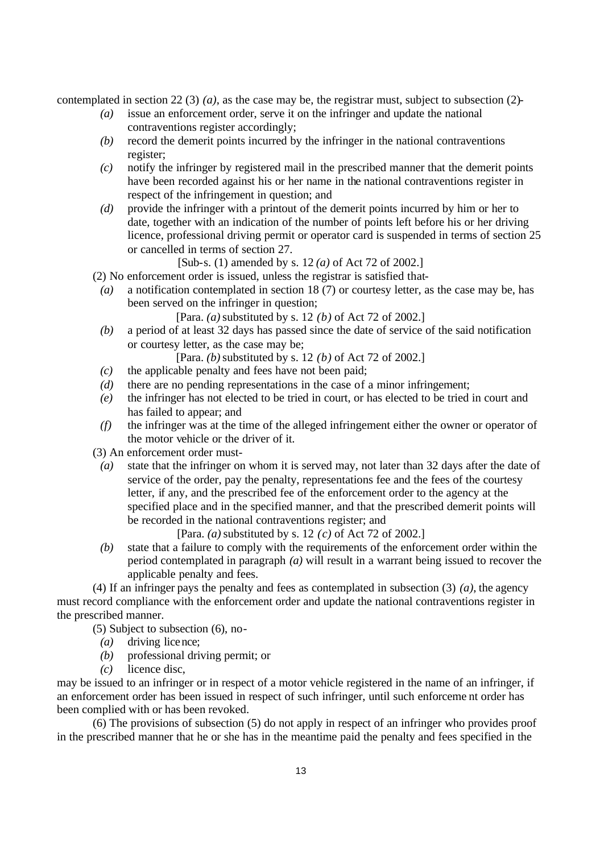contemplated in section 22 (3) *(a)*, as the case may be, the registrar must, subject to subsection (2)-

- *(a)* issue an enforcement order, serve it on the infringer and update the national contraventions register accordingly;
- *(b)* record the demerit points incurred by the infringer in the national contraventions register;
- *(c)* notify the infringer by registered mail in the prescribed manner that the demerit points have been recorded against his or her name in the national contraventions register in respect of the infringement in question; and
- *(d)* provide the infringer with a printout of the demerit points incurred by him or her to date, together with an indication of the number of points left before his or her driving licence, professional driving permit or operator card is suspended in terms of section 25 or cancelled in terms of section 27.

[Sub-s. (1) amended by s. 12 *(a)* of Act 72 of 2002.]

(2) No enforcement order is issued, unless the registrar is satisfied that-

*(a)* a notification contemplated in section 18 (7) or courtesy letter, as the case may be, has been served on the infringer in question;

[Para. *(a)* substituted by s. 12 *(b)* of Act 72 of 2002.]

*(b)* a period of at least 32 days has passed since the date of service of the said notification or courtesy letter, as the case may be;

[Para. *(b)* substituted by s. 12 *(b)* of Act 72 of 2002.]

- *(c)* the applicable penalty and fees have not been paid;
- *(d)* there are no pending representations in the case of a minor infringement;
- *(e)* the infringer has not elected to be tried in court, or has elected to be tried in court and has failed to appear; and
- *(f)* the infringer was at the time of the alleged infringement either the owner or operator of the motor vehicle or the driver of it.

(3) An enforcement order must-

*(a)* state that the infringer on whom it is served may, not later than 32 days after the date of service of the order, pay the penalty, representations fee and the fees of the courtesy letter, if any, and the prescribed fee of the enforcement order to the agency at the specified place and in the specified manner, and that the prescribed demerit points will be recorded in the national contraventions register; and

[Para. *(a)* substituted by s. 12 *(c)* of Act 72 of 2002.]

*(b)* state that a failure to comply with the requirements of the enforcement order within the period contemplated in paragraph *(a)* will result in a warrant being issued to recover the applicable penalty and fees.

(4) If an infringer pays the penalty and fees as contemplated in subsection (3) *(a)*, the agency must record compliance with the enforcement order and update the national contraventions register in the prescribed manner.

(5) Subject to subsection (6), no-

- *(a)* driving licence;
- *(b)* professional driving permit; or
- *(c)* licence disc,

may be issued to an infringer or in respect of a motor vehicle registered in the name of an infringer, if an enforcement order has been issued in respect of such infringer, until such enforceme nt order has been complied with or has been revoked.

(6) The provisions of subsection (5) do not apply in respect of an infringer who provides proof in the prescribed manner that he or she has in the meantime paid the penalty and fees specified in the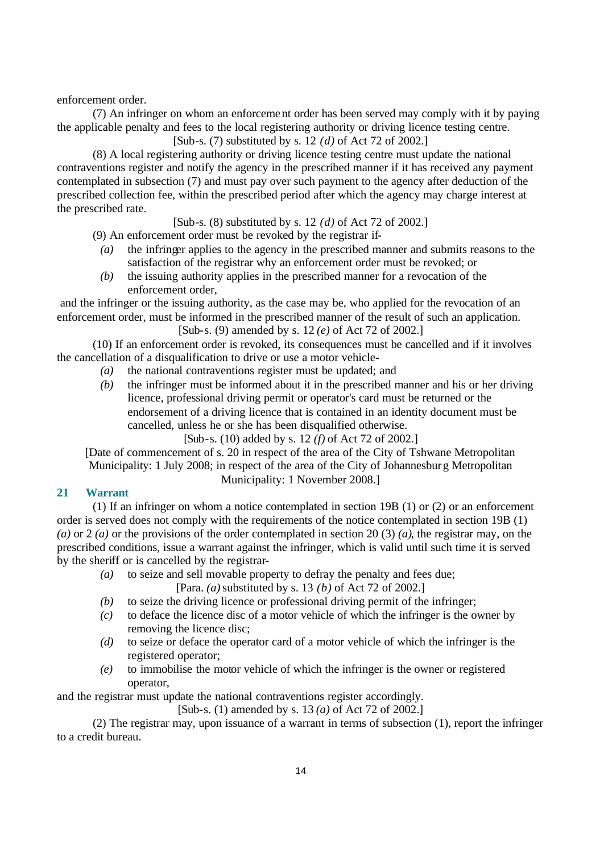enforcement order.

(7) An infringer on whom an enforcement order has been served may comply with it by paying the applicable penalty and fees to the local registering authority or driving licence testing centre.

[Sub-s. (7) substituted by s. 12 *(d)* of Act 72 of 2002.]

(8) A local registering authority or driving licence testing centre must update the national contraventions register and notify the agency in the prescribed manner if it has received any payment contemplated in subsection (7) and must pay over such payment to the agency after deduction of the prescribed collection fee, within the prescribed period after which the agency may charge interest at the prescribed rate.

[Sub-s. (8) substituted by s. 12 *(d)* of Act 72 of 2002.]

(9) An enforcement order must be revoked by the registrar if-

- *(a)* the infringer applies to the agency in the prescribed manner and submits reasons to the satisfaction of the registrar why an enforcement order must be revoked; or
- *(b)* the issuing authority applies in the prescribed manner for a revocation of the enforcement order,

 and the infringer or the issuing authority, as the case may be, who applied for the revocation of an enforcement order, must be informed in the prescribed manner of the result of such an application. [Sub-s. (9) amended by s. 12 *(e)* of Act 72 of 2002.]

(10) If an enforcement order is revoked, its consequences must be cancelled and if it involves the cancellation of a disqualification to drive or use a motor vehicle-

- *(a)* the national contraventions register must be updated; and
- *(b)* the infringer must be informed about it in the prescribed manner and his or her driving licence, professional driving permit or operator's card must be returned or the endorsement of a driving licence that is contained in an identity document must be cancelled, unless he or she has been disqualified otherwise.

[Sub-s. (10) added by s. 12 *(f)* of Act 72 of 2002.]

[Date of commencement of s. 20 in respect of the area of the City of Tshwane Metropolitan Municipality: 1 July 2008; in respect of the area of the City of Johannesburg Metropolitan

Municipality: 1 November 2008.]

# **21 Warrant**

(1) If an infringer on whom a notice contemplated in section 19B (1) or (2) or an enforcement order is served does not comply with the requirements of the notice contemplated in section 19B (1) *(a)* or 2 *(a)* or the provisions of the order contemplated in section 20 (3) *(a)*, the registrar may, on the prescribed conditions, issue a warrant against the infringer, which is valid until such time it is served by the sheriff or is cancelled by the registrar-

- *(a)* to seize and sell movable property to defray the penalty and fees due;
	- [Para. *(a)* substituted by s. 13 *(b)* of Act 72 of 2002.]
- *(b)* to seize the driving licence or professional driving permit of the infringer;
- *(c)* to deface the licence disc of a motor vehicle of which the infringer is the owner by removing the licence disc;
- *(d)* to seize or deface the operator card of a motor vehicle of which the infringer is the registered operator;
- *(e)* to immobilise the motor vehicle of which the infringer is the owner or registered operator,

and the registrar must update the national contraventions register accordingly.

[Sub-s. (1) amended by s. 13 *(a)* of Act 72 of 2002.]

(2) The registrar may, upon issuance of a warrant in terms of subsection (1), report the infringer to a credit bureau.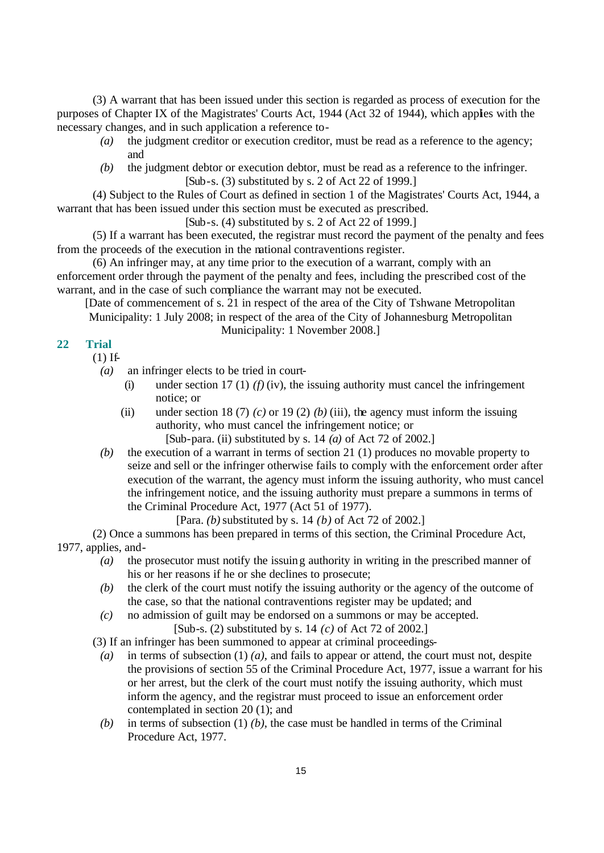(3) A warrant that has been issued under this section is regarded as process of execution for the purposes of Chapter IX of the Magistrates' Courts Act, 1944 (Act 32 of 1944), which applies with the necessary changes, and in such application a reference to-

- *(a)* the judgment creditor or execution creditor, must be read as a reference to the agency; and
- *(b)* the judgment debtor or execution debtor, must be read as a reference to the infringer. [Sub-s. (3) substituted by s. 2 of Act 22 of 1999.]

(4) Subject to the Rules of Court as defined in section 1 of the Magistrates' Courts Act, 1944, a warrant that has been issued under this section must be executed as prescribed.

 $[Sub-s. (4)$  substituted by s. 2 of Act 22 of 1999.

(5) If a warrant has been executed, the registrar must record the payment of the penalty and fees from the proceeds of the execution in the national contraventions register.

(6) An infringer may, at any time prior to the execution of a warrant, comply with an enforcement order through the payment of the penalty and fees, including the prescribed cost of the warrant, and in the case of such compliance the warrant may not be executed.

[Date of commencement of s. 21 in respect of the area of the City of Tshwane Metropolitan

Municipality: 1 July 2008; in respect of the area of the City of Johannesburg Metropolitan Municipality: 1 November 2008.]

# **22 Trial**

 $(1)$  If-

*(a)* an infringer elects to be tried in court-

- (i) under section 17 (1)  $(f)(iv)$ , the issuing authority must cancel the infringement notice; or
- (ii) under section 18 (7) *(c)* or 19 (2) *(b)* (iii), the agency must inform the issuing authority, who must cancel the infringement notice; or

[Sub-para. (ii) substituted by s. 14 *(a)* of Act 72 of 2002.]

*(b)* the execution of a warrant in terms of section 21 (1) produces no movable property to seize and sell or the infringer otherwise fails to comply with the enforcement order after execution of the warrant, the agency must inform the issuing authority, who must cancel the infringement notice, and the issuing authority must prepare a summons in terms of the Criminal Procedure Act, 1977 (Act 51 of 1977).

[Para. *(b)* substituted by s. 14 *(b)* of Act 72 of 2002.]

(2) Once a summons has been prepared in terms of this section, the Criminal Procedure Act, 1977, applies, and-

- *(a)* the prosecutor must notify the issuing authority in writing in the prescribed manner of his or her reasons if he or she declines to prosecute;
- *(b)* the clerk of the court must notify the issuing authority or the agency of the outcome of the case, so that the national contraventions register may be updated; and
- *(c)* no admission of guilt may be endorsed on a summons or may be accepted. [Sub-s. (2) substituted by s. 14 *(c)* of Act 72 of 2002.]

(3) If an infringer has been summoned to appear at criminal proceedings-

- *(a)* in terms of subsection (1) *(a)*, and fails to appear or attend, the court must not, despite the provisions of section 55 of the Criminal Procedure Act, 1977, issue a warrant for his or her arrest, but the clerk of the court must notify the issuing authority, which must inform the agency, and the registrar must proceed to issue an enforcement order contemplated in section 20 (1); and
- *(b)* in terms of subsection (1) *(b)*, the case must be handled in terms of the Criminal Procedure Act, 1977.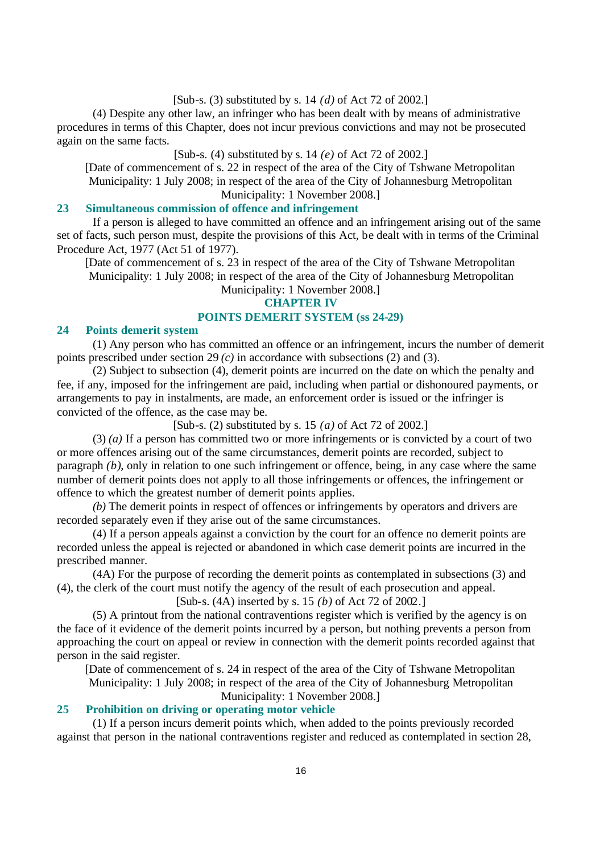## [Sub-s. (3) substituted by s. 14 *(d)* of Act 72 of 2002.]

(4) Despite any other law, an infringer who has been dealt with by means of administrative procedures in terms of this Chapter, does not incur previous convictions and may not be prosecuted again on the same facts.

## [Sub-s. (4) substituted by s. 14 *(e)* of Act 72 of 2002.]

[Date of commencement of s. 22 in respect of the area of the City of Tshwane Metropolitan Municipality: 1 July 2008; in respect of the area of the City of Johannesburg Metropolitan Municipality: 1 November 2008.]

#### **23 Simultaneous commission of offence and infringement**

If a person is alleged to have committed an offence and an infringement arising out of the same set of facts, such person must, despite the provisions of this Act, be dealt with in terms of the Criminal Procedure Act, 1977 (Act 51 of 1977).

[Date of commencement of s. 23 in respect of the area of the City of Tshwane Metropolitan Municipality: 1 July 2008; in respect of the area of the City of Johannesburg Metropolitan

Municipality: 1 November 2008.]

# **CHAPTER IV**

# **POINTS DEMERIT SYSTEM (ss 24-29)**

## **24 Points demerit system**

(1) Any person who has committed an offence or an infringement, incurs the number of demerit points prescribed under section 29 *(c)* in accordance with subsections (2) and (3).

(2) Subject to subsection (4), demerit points are incurred on the date on which the penalty and fee, if any, imposed for the infringement are paid, including when partial or dishonoured payments, or arrangements to pay in instalments, are made, an enforcement order is issued or the infringer is convicted of the offence, as the case may be.

[Sub-s. (2) substituted by s. 15 *(a)* of Act 72 of 2002.]

(3) *(a)* If a person has committed two or more infringements or is convicted by a court of two or more offences arising out of the same circumstances, demerit points are recorded, subject to paragraph *(b)*, only in relation to one such infringement or offence, being, in any case where the same number of demerit points does not apply to all those infringements or offences, the infringement or offence to which the greatest number of demerit points applies.

*(b)* The demerit points in respect of offences or infringements by operators and drivers are recorded separately even if they arise out of the same circumstances.

(4) If a person appeals against a conviction by the court for an offence no demerit points are recorded unless the appeal is rejected or abandoned in which case demerit points are incurred in the prescribed manner.

(4A) For the purpose of recording the demerit points as contemplated in subsections (3) and (4), the clerk of the court must notify the agency of the result of each prosecution and appeal.

# [Sub-s. (4A) inserted by s. 15 *(b)* of Act 72 of 2002.]

(5) A printout from the national contraventions register which is verified by the agency is on the face of it evidence of the demerit points incurred by a person, but nothing prevents a person from approaching the court on appeal or review in connection with the demerit points recorded against that person in the said register.

[Date of commencement of s. 24 in respect of the area of the City of Tshwane Metropolitan Municipality: 1 July 2008; in respect of the area of the City of Johannesburg Metropolitan Municipality: 1 November 2008.]

#### **25 Prohibition on driving or operating motor vehicle**

(1) If a person incurs demerit points which, when added to the points previously recorded against that person in the national contraventions register and reduced as contemplated in section 28,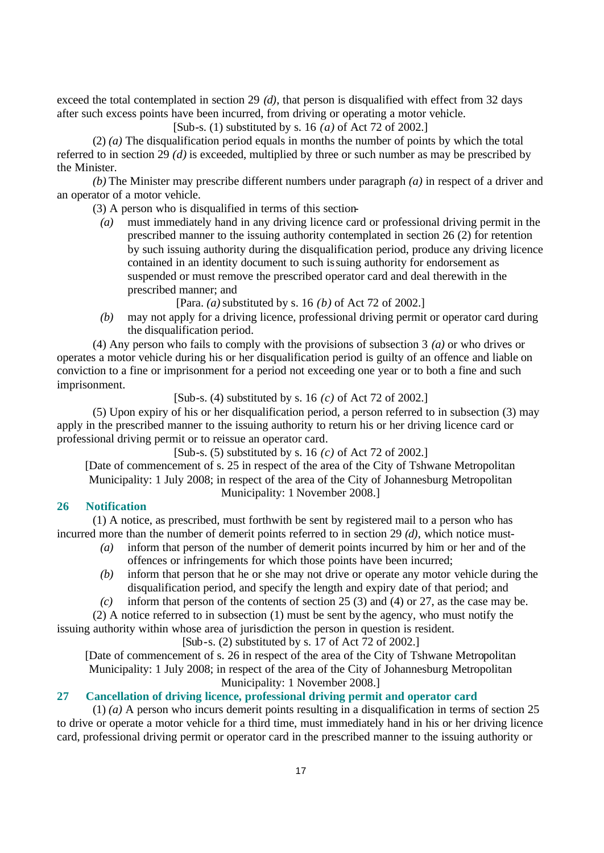exceed the total contemplated in section 29 *(d)*, that person is disqualified with effect from 32 days after such excess points have been incurred, from driving or operating a motor vehicle.

[Sub-s. (1) substituted by s. 16 *(a)* of Act 72 of 2002.]

(2) *(a)* The disqualification period equals in months the number of points by which the total referred to in section 29 *(d)* is exceeded, multiplied by three or such number as may be prescribed by the Minister.

*(b)* The Minister may prescribe different numbers under paragraph *(a)* in respect of a driver and an operator of a motor vehicle.

(3) A person who is disqualified in terms of this section-

*(a)* must immediately hand in any driving licence card or professional driving permit in the prescribed manner to the issuing authority contemplated in section 26 (2) for retention by such issuing authority during the disqualification period, produce any driving licence contained in an identity document to such issuing authority for endorsement as suspended or must remove the prescribed operator card and deal therewith in the prescribed manner; and

[Para. *(a)* substituted by s. 16 *(b)* of Act 72 of 2002.]

*(b)* may not apply for a driving licence, professional driving permit or operator card during the disqualification period.

(4) Any person who fails to comply with the provisions of subsection 3 *(a)* or who drives or operates a motor vehicle during his or her disqualification period is guilty of an offence and liable on conviction to a fine or imprisonment for a period not exceeding one year or to both a fine and such imprisonment.

[Sub-s. (4) substituted by s. 16 *(c)* of Act 72 of 2002.]

(5) Upon expiry of his or her disqualification period, a person referred to in subsection (3) may apply in the prescribed manner to the issuing authority to return his or her driving licence card or professional driving permit or to reissue an operator card.

[Sub-s. (5) substituted by s. 16 *(c)* of Act 72 of 2002.]

[Date of commencement of s. 25 in respect of the area of the City of Tshwane Metropolitan Municipality: 1 July 2008; in respect of the area of the City of Johannesburg Metropolitan Municipality: 1 November 2008.]

# **26 Notification**

(1) A notice, as prescribed, must forthwith be sent by registered mail to a person who has incurred more than the number of demerit points referred to in section 29 *(d)*, which notice must-

- *(a)* inform that person of the number of demerit points incurred by him or her and of the offences or infringements for which those points have been incurred;
- *(b)* inform that person that he or she may not drive or operate any motor vehicle during the disqualification period, and specify the length and expiry date of that period; and

*(c)* inform that person of the contents of section 25 (3) and (4) or 27, as the case may be.

(2) A notice referred to in subsection (1) must be sent by the agency, who must notify the

issuing authority within whose area of jurisdiction the person in question is resident. [Sub-s.  $(2)$  substituted by s. 17 of Act 72 of 2002.]

[Date of commencement of s. 26 in respect of the area of the City of Tshwane Metropolitan Municipality: 1 July 2008; in respect of the area of the City of Johannesburg Metropolitan Municipality: 1 November 2008.]

# **27 Cancellation of driving licence, professional driving permit and operator card**

(1) *(a)* A person who incurs demerit points resulting in a disqualification in terms of section 25 to drive or operate a motor vehicle for a third time, must immediately hand in his or her driving licence card, professional driving permit or operator card in the prescribed manner to the issuing authority or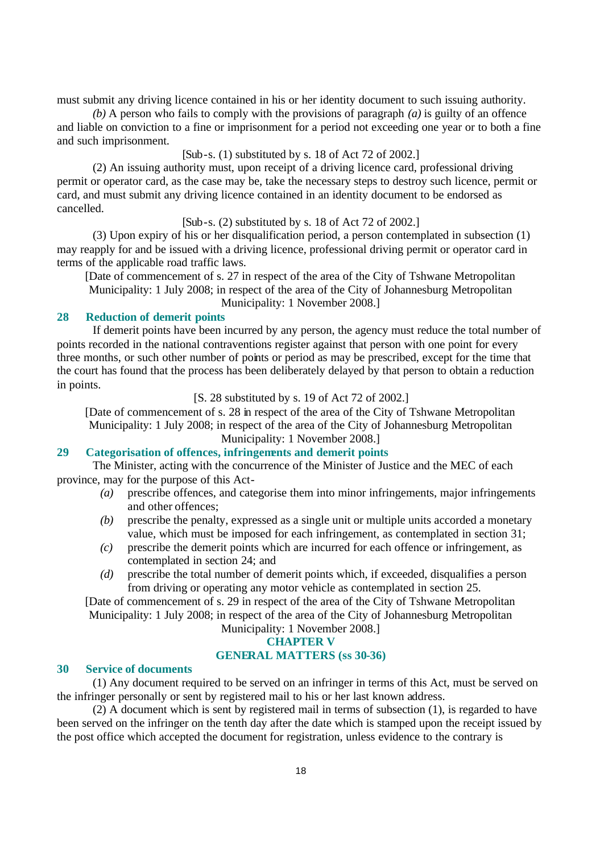must submit any driving licence contained in his or her identity document to such issuing authority.

*(b)* A person who fails to comply with the provisions of paragraph *(a)* is guilty of an offence and liable on conviction to a fine or imprisonment for a period not exceeding one year or to both a fine and such imprisonment.

[Sub-s. (1) substituted by s. 18 of Act 72 of 2002.]

(2) An issuing authority must, upon receipt of a driving licence card, professional driving permit or operator card, as the case may be, take the necessary steps to destroy such licence, permit or card, and must submit any driving licence contained in an identity document to be endorsed as cancelled.

[Sub-s. (2) substituted by s. 18 of Act 72 of 2002.]

(3) Upon expiry of his or her disqualification period, a person contemplated in subsection (1) may reapply for and be issued with a driving licence, professional driving permit or operator card in terms of the applicable road traffic laws.

[Date of commencement of s. 27 in respect of the area of the City of Tshwane Metropolitan Municipality: 1 July 2008; in respect of the area of the City of Johannesburg Metropolitan Municipality: 1 November 2008.]

## **28 Reduction of demerit points**

If demerit points have been incurred by any person, the agency must reduce the total number of points recorded in the national contraventions register against that person with one point for every three months, or such other number of points or period as may be prescribed, except for the time that the court has found that the process has been deliberately delayed by that person to obtain a reduction in points.

#### [S. 28 substituted by s. 19 of Act 72 of 2002.]

[Date of commencement of s. 28 in respect of the area of the City of Tshwane Metropolitan Municipality: 1 July 2008; in respect of the area of the City of Johannesburg Metropolitan Municipality: 1 November 2008.]

#### **29 Categorisation of offences, infringements and demerit points**

The Minister, acting with the concurrence of the Minister of Justice and the MEC of each province, may for the purpose of this Act-

- *(a)* prescribe offences, and categorise them into minor infringements, major infringements and other offences;
- *(b)* prescribe the penalty, expressed as a single unit or multiple units accorded a monetary value, which must be imposed for each infringement, as contemplated in section 31;
- *(c)* prescribe the demerit points which are incurred for each offence or infringement, as contemplated in section 24; and
- *(d)* prescribe the total number of demerit points which, if exceeded, disqualifies a person from driving or operating any motor vehicle as contemplated in section 25.

[Date of commencement of s. 29 in respect of the area of the City of Tshwane Metropolitan Municipality: 1 July 2008; in respect of the area of the City of Johannesburg Metropolitan

# Municipality: 1 November 2008.]

# **CHAPTER V**

# **GENERAL MATTERS (ss 30-36)**

#### **30 Service of documents**

(1) Any document required to be served on an infringer in terms of this Act, must be served on the infringer personally or sent by registered mail to his or her last known address.

(2) A document which is sent by registered mail in terms of subsection (1), is regarded to have been served on the infringer on the tenth day after the date which is stamped upon the receipt issued by the post office which accepted the document for registration, unless evidence to the contrary is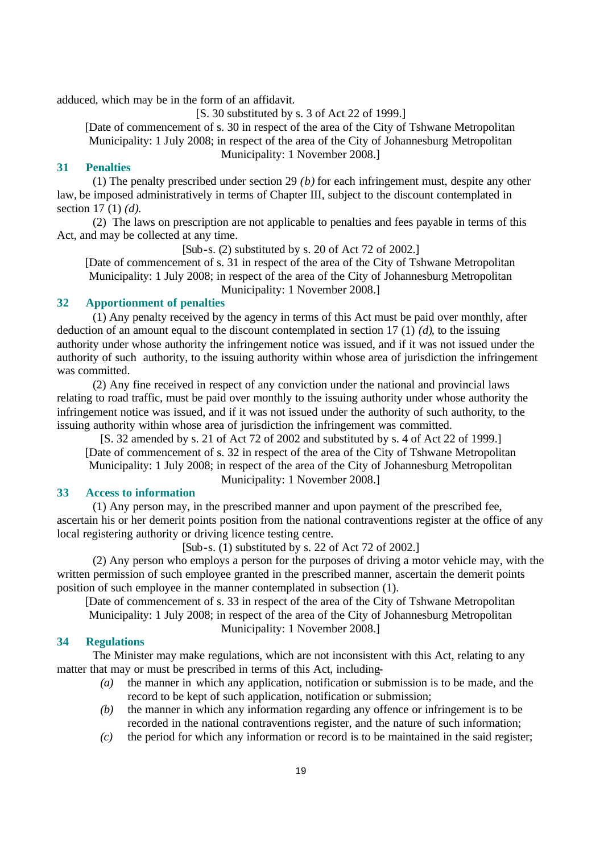adduced, which may be in the form of an affidavit.

[S. 30 substituted by s. 3 of Act 22 of 1999.]

[Date of commencement of s. 30 in respect of the area of the City of Tshwane Metropolitan Municipality: 1 July 2008; in respect of the area of the City of Johannesburg Metropolitan Municipality: 1 November 2008.]

#### **31 Penalties**

(1) The penalty prescribed under section 29 *(b)* for each infringement must, despite any other law, be imposed administratively in terms of Chapter III, subject to the discount contemplated in section 17 (1) *(d)*.

(2) The laws on prescription are not applicable to penalties and fees payable in terms of this Act, and may be collected at any time.

[Sub-s. (2) substituted by s. 20 of Act 72 of 2002.]

[Date of commencement of s. 31 in respect of the area of the City of Tshwane Metropolitan Municipality: 1 July 2008; in respect of the area of the City of Johannesburg Metropolitan Municipality: 1 November 2008.]

## **32 Apportionment of penalties**

(1) Any penalty received by the agency in terms of this Act must be paid over monthly, after deduction of an amount equal to the discount contemplated in section 17 (1) *(d)*, to the issuing authority under whose authority the infringement notice was issued, and if it was not issued under the authority of such authority, to the issuing authority within whose area of jurisdiction the infringement was committed.

(2) Any fine received in respect of any conviction under the national and provincial laws relating to road traffic, must be paid over monthly to the issuing authority under whose authority the infringement notice was issued, and if it was not issued under the authority of such authority, to the issuing authority within whose area of jurisdiction the infringement was committed.

[S. 32 amended by s. 21 of Act 72 of 2002 and substituted by s. 4 of Act 22 of 1999.] [Date of commencement of s. 32 in respect of the area of the City of Tshwane Metropolitan Municipality: 1 July 2008; in respect of the area of the City of Johannesburg Metropolitan

Municipality: 1 November 2008.]

#### **33 Access to information**

(1) Any person may, in the prescribed manner and upon payment of the prescribed fee, ascertain his or her demerit points position from the national contraventions register at the office of any local registering authority or driving licence testing centre.

[Sub-s. (1) substituted by s. 22 of Act 72 of 2002.]

(2) Any person who employs a person for the purposes of driving a motor vehicle may, with the written permission of such employee granted in the prescribed manner, ascertain the demerit points position of such employee in the manner contemplated in subsection (1).

[Date of commencement of s. 33 in respect of the area of the City of Tshwane Metropolitan Municipality: 1 July 2008; in respect of the area of the City of Johannesburg Metropolitan

Municipality: 1 November 2008.]

## **34 Regulations**

The Minister may make regulations, which are not inconsistent with this Act, relating to any matter that may or must be prescribed in terms of this Act, including-

- *(a)* the manner in which any application, notification or submission is to be made, and the record to be kept of such application, notification or submission;
- *(b)* the manner in which any information regarding any offence or infringement is to be recorded in the national contraventions register, and the nature of such information;
- *(c)* the period for which any information or record is to be maintained in the said register;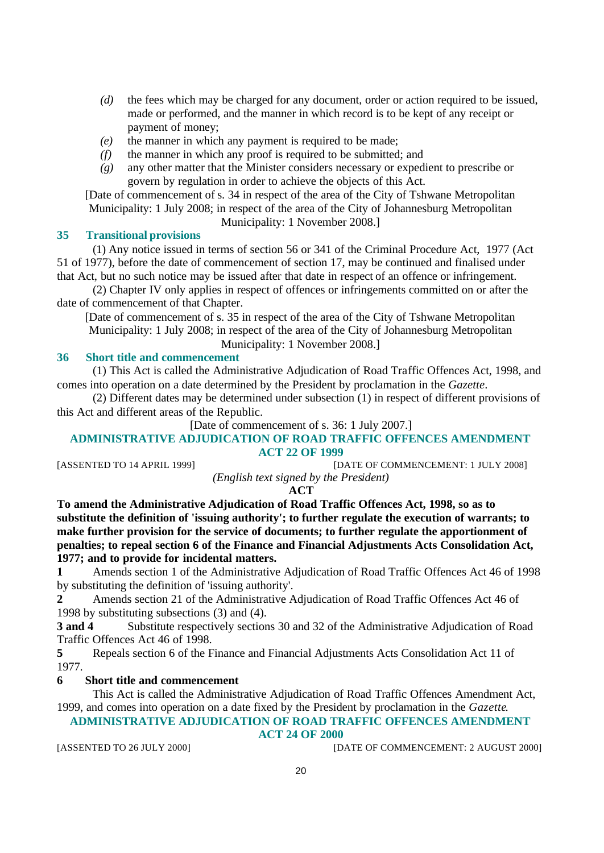- *(d)* the fees which may be charged for any document, order or action required to be issued, made or performed, and the manner in which record is to be kept of any receipt or payment of money;
- *(e)* the manner in which any payment is required to be made;
- *(f)* the manner in which any proof is required to be submitted; and
- *(g)* any other matter that the Minister considers necessary or expedient to prescribe or govern by regulation in order to achieve the objects of this Act.

[Date of commencement of s. 34 in respect of the area of the City of Tshwane Metropolitan Municipality: 1 July 2008; in respect of the area of the City of Johannesburg Metropolitan

Municipality: 1 November 2008.]

#### **35 Transitional provisions**

(1) Any notice issued in terms of section 56 or 341 of the Criminal Procedure Act, 1977 (Act 51 of 1977), before the date of commencement of section 17, may be continued and finalised under that Act, but no such notice may be issued after that date in respect of an offence or infringement.

(2) Chapter IV only applies in respect of offences or infringements committed on or after the date of commencement of that Chapter.

[Date of commencement of s. 35 in respect of the area of the City of Tshwane Metropolitan Municipality: 1 July 2008; in respect of the area of the City of Johannesburg Metropolitan Municipality: 1 November 2008.]

#### **36 Short title and commencement**

(1) This Act is called the Administrative Adjudication of Road Traffic Offences Act, 1998, and comes into operation on a date determined by the President by proclamation in the *Gazette*.

(2) Different dates may be determined under subsection (1) in respect of different provisions of this Act and different areas of the Republic.

[Date of commencement of s. 36: 1 July 2007.]

## **ADMINISTRATIVE ADJUDICATION OF ROAD TRAFFIC OFFENCES AMENDMENT ACT 22 OF 1999**

[ASSENTED TO 14 APRIL 1999] [DATE OF COMMENCEMENT: 1 JULY 2008]

*(English text signed by the President)*

**ACT**

**To amend the Administrative Adjudication of Road Traffic Offences Act, 1998, so as to substitute the definition of 'issuing authority'; to further regulate the execution of warrants; to make further provision for the service of documents; to further regulate the apportionment of penalties; to repeal section 6 of the Finance and Financial Adjustments Acts Consolidation Act, 1977; and to provide for incidental matters.**

**1** Amends section 1 of the Administrative Adjudication of Road Traffic Offences Act 46 of 1998 by substituting the definition of 'issuing authority'.

**2** Amends section 21 of the Administrative Adjudication of Road Traffic Offences Act 46 of 1998 by substituting subsections (3) and (4).

**3 and 4** Substitute respectively sections 30 and 32 of the Administrative Adjudication of Road Traffic Offences Act 46 of 1998.

**5** Repeals section 6 of the Finance and Financial Adjustments Acts Consolidation Act 11 of 1977.

#### **6 Short title and commencement**

This Act is called the Administrative Adjudication of Road Traffic Offences Amendment Act, 1999, and comes into operation on a date fixed by the President by proclamation in the *Gazette*.

# **ADMINISTRATIVE ADJUDICATION OF ROAD TRAFFIC OFFENCES AMENDMENT**

**ACT 24 OF 2000**

[ASSENTED TO 26 JULY 2000] [DATE OF COMMENCEMENT: 2 AUGUST 2000]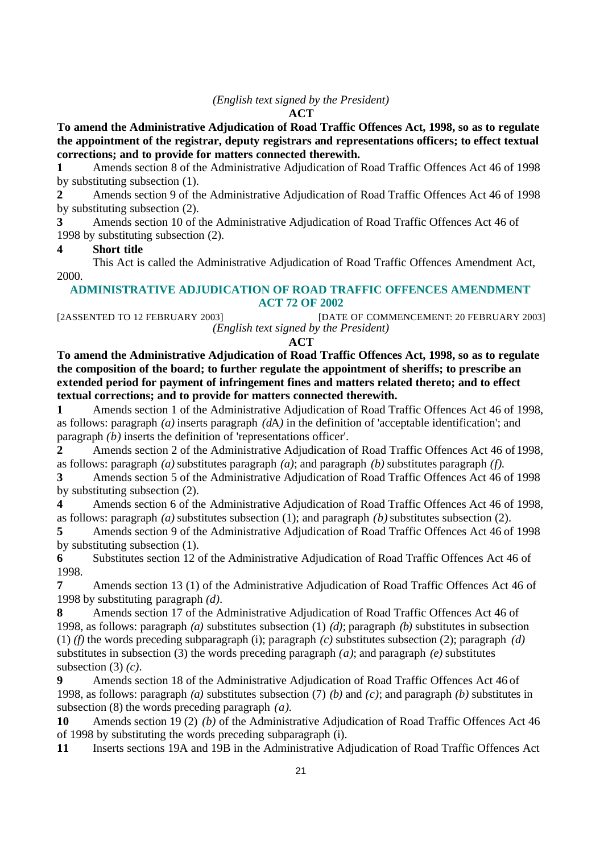#### *(English text signed by the President)*

#### **ACT**

**To amend the Administrative Adjudication of Road Traffic Offences Act, 1998, so as to regulate the appointment of the registrar, deputy registrars and representations officers; to effect textual corrections; and to provide for matters connected therewith.**

**1** Amends section 8 of the Administrative Adjudication of Road Traffic Offences Act 46 of 1998 by substituting subsection (1).

**2** Amends section 9 of the Administrative Adjudication of Road Traffic Offences Act 46 of 1998 by substituting subsection (2).

**3** Amends section 10 of the Administrative Adjudication of Road Traffic Offences Act 46 of 1998 by substituting subsection (2).

## **4 Short title**

This Act is called the Administrative Adjudication of Road Traffic Offences Amendment Act, 2000.

## **ADMINISTRATIVE ADJUDICATION OF ROAD TRAFFIC OFFENCES AMENDMENT ACT 72 OF 2002**

[2ASSENTED TO 12 FEBRUARY 2003] [DATE OF COMMENCEMENT: 20 FEBRUARY 2003] *(English text signed by the President)*

## **ACT**

**To amend the Administrative Adjudication of Road Traffic Offences Act, 1998, so as to regulate the composition of the board; to further regulate the appointment of sheriffs; to prescribe an extended period for payment of infringement fines and matters related thereto; and to effect textual corrections; and to provide for matters connected therewith.**

**1** Amends section 1 of the Administrative Adjudication of Road Traffic Offences Act 46 of 1998, as follows: paragraph *(a)* inserts paragraph *(d*A*)* in the definition of 'acceptable identification'; and paragraph *(b)* inserts the definition of 'representations officer'.

**2** Amends section 2 of the Administrative Adjudication of Road Traffic Offences Act 46 of 1998, as follows: paragraph *(a)* substitutes paragraph *(a)*; and paragraph *(b)* substitutes paragraph *(f)*.

**3** Amends section 5 of the Administrative Adjudication of Road Traffic Offences Act 46 of 1998 by substituting subsection (2).

**4** Amends section 6 of the Administrative Adjudication of Road Traffic Offences Act 46 of 1998, as follows: paragraph *(a)* substitutes subsection (1); and paragraph *(b)* substitutes subsection (2).

**5** Amends section 9 of the Administrative Adjudication of Road Traffic Offences Act 46 of 1998 by substituting subsection (1).

**6** Substitutes section 12 of the Administrative Adjudication of Road Traffic Offences Act 46 of 1998.

**7** Amends section 13 (1) of the Administrative Adjudication of Road Traffic Offences Act 46 of 1998 by substituting paragraph *(d)*.

**8** Amends section 17 of the Administrative Adjudication of Road Traffic Offences Act 46 of 1998, as follows: paragraph *(a)* substitutes subsection (1) *(d)*; paragraph *(b)* substitutes in subsection (1) *(f)* the words preceding subparagraph (i); paragraph *(c)* substitutes subsection (2); paragraph *(d)* substitutes in subsection (3) the words preceding paragraph *(a)*; and paragraph *(e)* substitutes subsection (3) *(c)*.

**9** Amends section 18 of the Administrative Adjudication of Road Traffic Offences Act 46 of 1998, as follows: paragraph *(a)* substitutes subsection (7) *(b)* and *(c)*; and paragraph *(b)* substitutes in subsection (8) the words preceding paragraph *(a)*.

**10** Amends section 19 (2) *(b)* of the Administrative Adjudication of Road Traffic Offences Act 46 of 1998 by substituting the words preceding subparagraph (i).

**11** Inserts sections 19A and 19B in the Administrative Adjudication of Road Traffic Offences Act